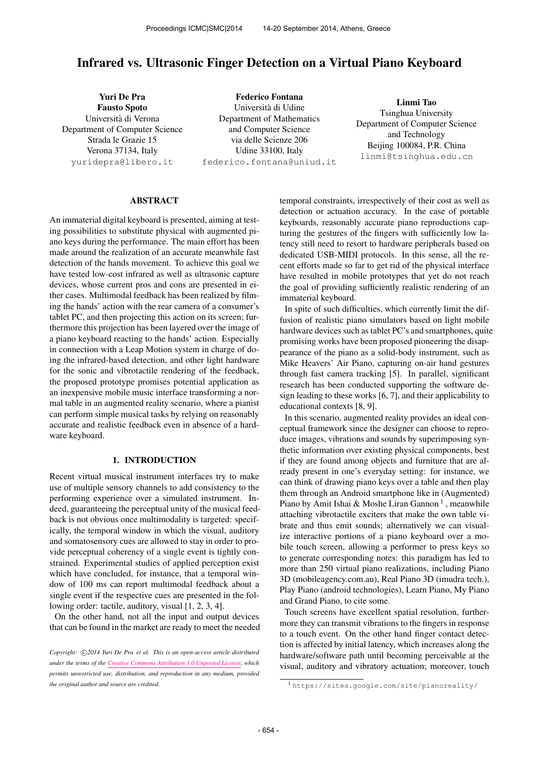# Infrared vs. Ultrasonic Finger Detection on a Virtual Piano Keyboard

Yuri De Pra Fausto Spoto Universita di Verona ` Department of Computer Science Strada le Grazie 15 Verona 37134, Italy [yuridepra@libero.it](mailto:yuridepra@libero.it)

Federico Fontana Universita di Udine ` Department of Mathematics and Computer Science via delle Scienze 206 Udine 33100, Italy [federico.fontana@uniud.it](mailto:federico.fontana@uniud.it)

Linmi Tao Tsinghua University Department of Computer Science and Technology Beijing 100084, P.R. China [linmi@tsinghua.edu.cn](mailto:linmi@tsinghua.edu.cn)

#### ABSTRACT

An immaterial digital keyboard is presented, aiming at testing possibilities to substitute physical with augmented piano keys during the performance. The main effort has been made around the realization of an accurate meanwhile fast detection of the hands movement. To achieve this goal we have tested low-cost infrared as well as ultrasonic capture devices, whose current pros and cons are presented in either cases. Multimodal feedback has been realized by filming the hands' action with the rear camera of a consumer's tablet PC, and then projecting this action on its screen; furthermore this projection has been layered over the image of a piano keyboard reacting to the hands' action. Especially in connection with a Leap Motion system in charge of doing the infrared-based detection, and other light hardware for the sonic and vibrotactile rendering of the feedback, the proposed prototype promises potential application as an inexpensive mobile music interface transforming a normal table in an augmented reality scenario, where a pianist can perform simple musical tasks by relying on reasonably accurate and realistic feedback even in absence of a hardware keyboard.

## 1. INTRODUCTION

Recent virtual musical instrument interfaces try to make use of multiple sensory channels to add consistency to the performing experience over a simulated instrument. Indeed, guaranteeing the perceptual unity of the musical feedback is not obvious once multimodality is targeted: specifically, the temporal window in which the visual, auditory and somatosensory cues are allowed to stay in order to provide perceptual coherency of a single event is tightly constrained. Experimental studies of applied perception exist which have concluded, for instance, that a temporal window of 100 ms can report multimodal feedback about a single event if the respective cues are presented in the following order: tactile, auditory, visual [1, 2, 3, 4].

On the other hand, not all the input and output devices that can be found in the market are ready to meet the needed temporal constraints, irrespectively of their cost as well as detection or actuation accuracy. In the case of portable keyboards, reasonably accurate piano reproductions capturing the gestures of the fingers with sufficiently low latency still need to resort to hardware peripherals based on dedicated USB-MIDI protocols. In this sense, all the recent efforts made so far to get rid of the physical interface have resulted in mobile prototypes that yet do not reach the goal of providing sufficiently realistic rendering of an immaterial keyboard.

In spite of such difficulties, which currently limit the diffusion of realistic piano simulators based on light mobile hardware devices such as tablet PC's and smartphones, quite promising works have been proposed pioneering the disappearance of the piano as a solid-body instrument, such as Mike Heavers' Air Piano, capturing on-air hand gestures through fast camera tracking [5]. In parallel, significant research has been conducted supporting the software design leading to these works [6, 7], and their applicability to educational contexts [8, 9].

In this scenario, augmented reality provides an ideal conceptual framework since the designer can choose to reproduce images, vibrations and sounds by superimposing synthetic information over existing physical components, best if they are found among objects and furniture that are already present in one's everyday setting: for instance, we can think of drawing piano keys over a table and then play them through an Android smartphone like in (Augmented) Piano by Amit Ishai & Moshe Liran Gannon<sup>1</sup>, meanwhile attaching vibrotactile exciters that make the own table vibrate and thus emit sounds; alternatively we can visualize interactive portions of a piano keyboard over a mobile touch screen, allowing a performer to press keys so to generate corresponding notes: this paradigm has led to more than 250 virtual piano realizations, including Piano 3D (mobileagency.com.au), Real Piano 3D (imudra tech.), Play Piano (android technologies), Learn Piano, My Piano and Grand Piano, to cite some.

Touch screens have excellent spatial resolution, furthermore they can transmit vibrations to the fingers in response to a touch event. On the other hand finger contact detection is affected by initial latency, which increases along the hardware/software path until becoming perceivable at the visual, auditory and vibratory actuation; moreover, touch

Copyright:  $\bigcirc$ 2014 Yuri De Pra et al. This is an open-access article distributed *under the terms of the [Creative Commons Attribution 3.0 Unported License,](http://creativecommons.org/licenses/by/3.0/) which permits unrestricted use, distribution, and reproduction in any medium, provided the original author and source are credited.*

<sup>1</sup> <https://sites.google.com/site/pianoreality/>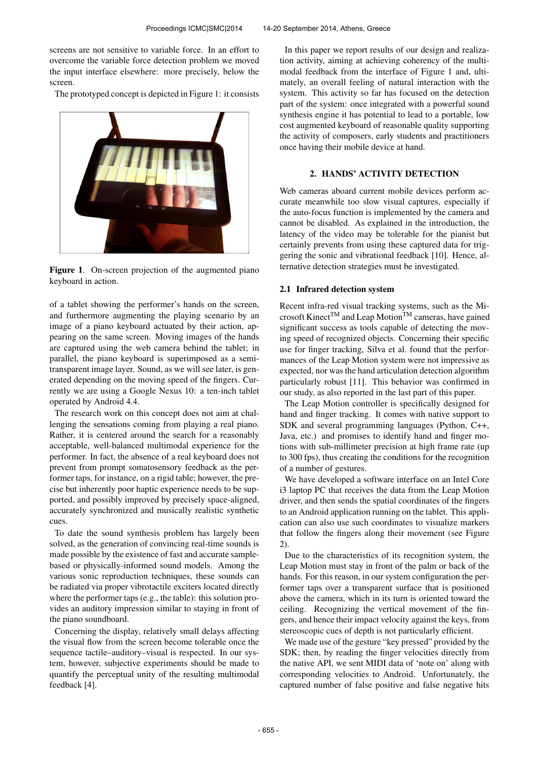screens are not sensitive to variable force. In an effort to overcome the variable force detection problem we moved the input interface elsewhere: more precisely, below the screen.

The prototyped concept is depicted in Figure 1: it consists



Figure 1. On-screen projection of the augmented piano keyboard in action.

of a tablet showing the performer's hands on the screen, and furthermore augmenting the playing scenario by an image of a piano keyboard actuated by their action, appearing on the same screen. Moving images of the hands are captured using the web camera behind the tablet; in parallel, the piano keyboard is superimposed as a semitransparent image layer. Sound, as we will see later, is generated depending on the moving speed of the fingers. Currently we are using a Google Nexus 10: a ten-inch tablet operated by Android 4.4.

The research work on this concept does not aim at challenging the sensations coming from playing a real piano. Rather, it is centered around the search for a reasonably acceptable, well-balanced multimodal experience for the performer. In fact, the absence of a real keyboard does not prevent from prompt somatosensory feedback as the performer taps, for instance, on a rigid table; however, the precise but inherently poor haptic experience needs to be supported, and possibly improved by precisely space-aligned, accurately synchronized and musically realistic synthetic cues.

To date the sound synthesis problem has largely been solved, as the generation of convincing real-time sounds is made possible by the existence of fast and accurate samplebased or physically-informed sound models. Among the various sonic reproduction techniques, these sounds can be radiated via proper vibrotactile exciters located directly where the performer taps (e.g., the table): this solution provides an auditory impression similar to staying in front of the piano soundboard.

Concerning the display, relatively small delays affecting the visual flow from the screen become tolerable once the sequence tactile–auditory–visual is respected. In our system, however, subjective experiments should be made to quantify the perceptual unity of the resulting multimodal feedback [4].

In this paper we report results of our design and realization activity, aiming at achieving coherency of the multimodal feedback from the interface of Figure 1 and, ultimately, an overall feeling of natural interaction with the system. This activity so far has focused on the detection part of the system: once integrated with a powerful sound synthesis engine it has potential to lead to a portable, low cost augmented keyboard of reasonable quality supporting the activity of composers, early students and practitioners once having their mobile device at hand.

## 2. HANDS' ACTIVITY DETECTION

Web cameras aboard current mobile devices perform accurate meanwhile too slow visual captures, especially if the auto-focus function is implemented by the camera and cannot be disabled. As explained in the introduction, the latency of the video may be tolerable for the pianist but certainly prevents from using these captured data for triggering the sonic and vibrational feedback [10]. Hence, alternative detection strategies must be investigated.

#### 2.1 Infrared detection system

Recent infra-red visual tracking systems, such as the Microsoft Kinect<sup>TM</sup> and Leap Motion<sup>TM</sup> cameras, have gained significant success as tools capable of detecting the moving speed of recognized objects. Concerning their specific use for finger tracking, Silva et al. found that the performances of the Leap Motion system were not impressive as expected, nor was the hand articulation detection algorithm particularly robust [11]. This behavior was confirmed in our study, as also reported in the last part of this paper.

The Leap Motion controller is specifically designed for hand and finger tracking. It comes with native support to SDK and several programming languages (Python, C++, Java, etc.) and promises to identify hand and finger motions with sub-millimeter precision at high frame rate (up to 300 fps), thus creating the conditions for the recognition of a number of gestures.

We have developed a software interface on an Intel Core i3 laptop PC that receives the data from the Leap Motion driver, and then sends the spatial coordinates of the fingers to an Android application running on the tablet. This application can also use such coordinates to visualize markers that follow the fingers along their movement (see Figure 2).

Due to the characteristics of its recognition system, the Leap Motion must stay in front of the palm or back of the hands. For this reason, in our system configuration the performer taps over a transparent surface that is positioned above the camera, which in its turn is oriented toward the ceiling. Recognizing the vertical movement of the fingers, and hence their impact velocity against the keys, from stereoscopic cues of depth is not particularly efficient.

We made use of the gesture "key pressed" provided by the SDK; then, by reading the finger velocities directly from the native API, we sent MIDI data of 'note on' along with corresponding velocities to Android. Unfortunately, the captured number of false positive and false negative hits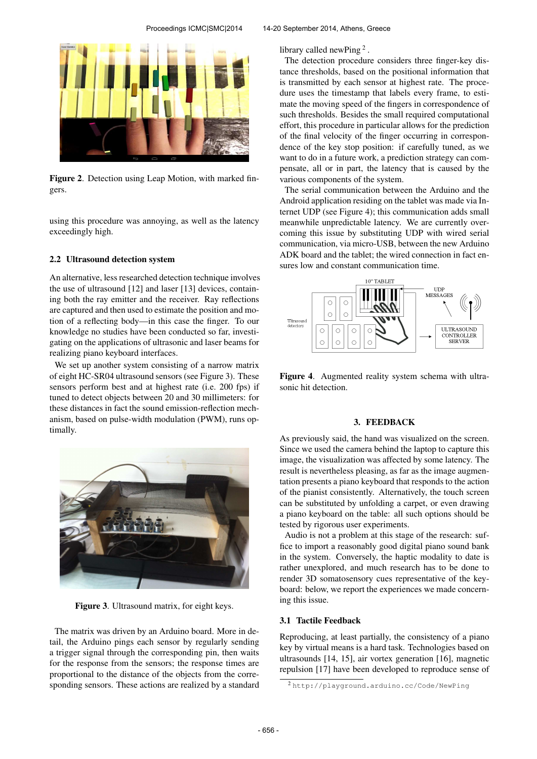

Figure 2. Detection using Leap Motion, with marked fingers.

using this procedure was annoying, as well as the latency exceedingly high.

#### 2.2 Ultrasound detection system

An alternative, less researched detection technique involves the use of ultrasound [12] and laser [13] devices, containing both the ray emitter and the receiver. Ray reflections are captured and then used to estimate the position and motion of a reflecting body—in this case the finger. To our knowledge no studies have been conducted so far, investigating on the applications of ultrasonic and laser beams for realizing piano keyboard interfaces.

We set up another system consisting of a narrow matrix of eight HC-SR04 ultrasound sensors (see Figure 3). These sensors perform best and at highest rate (i.e. 200 fps) if tuned to detect objects between 20 and 30 millimeters: for these distances in fact the sound emission-reflection mechanism, based on pulse-width modulation (PWM), runs optimally.



Figure 3. Ultrasound matrix, for eight keys.

The matrix was driven by an Arduino board. More in detail, the Arduino pings each sensor by regularly sending a trigger signal through the corresponding pin, then waits for the response from the sensors; the response times are proportional to the distance of the objects from the corresponding sensors. These actions are realized by a standard library called newPing<sup>2</sup>.

The detection procedure considers three finger-key distance thresholds, based on the positional information that is transmitted by each sensor at highest rate. The procedure uses the timestamp that labels every frame, to estimate the moving speed of the fingers in correspondence of such thresholds. Besides the small required computational effort, this procedure in particular allows for the prediction of the final velocity of the finger occurring in correspondence of the key stop position: if carefully tuned, as we want to do in a future work, a prediction strategy can compensate, all or in part, the latency that is caused by the various components of the system.

The serial communication between the Arduino and the Android application residing on the tablet was made via Internet UDP (see Figure 4); this communication adds small meanwhile unpredictable latency. We are currently overcoming this issue by substituting UDP with wired serial communication, via micro-USB, between the new Arduino ADK board and the tablet; the wired connection in fact ensures low and constant communication time.



Figure 4. Augmented reality system schema with ultrasonic hit detection.

#### 3. FEEDBACK

As previously said, the hand was visualized on the screen. Since we used the camera behind the laptop to capture this image, the visualization was affected by some latency. The result is nevertheless pleasing, as far as the image augmentation presents a piano keyboard that responds to the action of the pianist consistently. Alternatively, the touch screen can be substituted by unfolding a carpet, or even drawing a piano keyboard on the table: all such options should be tested by rigorous user experiments.

Audio is not a problem at this stage of the research: suffice to import a reasonably good digital piano sound bank in the system. Conversely, the haptic modality to date is rather unexplored, and much research has to be done to render 3D somatosensory cues representative of the keyboard: below, we report the experiences we made concerning this issue.

#### 3.1 Tactile Feedback

Reproducing, at least partially, the consistency of a piano key by virtual means is a hard task. Technologies based on ultrasounds [14, 15], air vortex generation [16], magnetic repulsion [17] have been developed to reproduce sense of

<sup>2</sup> <http://playground.arduino.cc/Code/NewPing>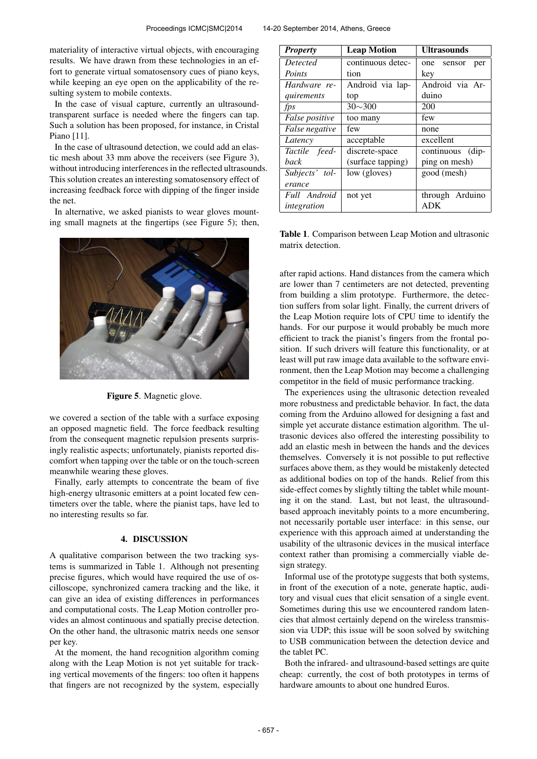materiality of interactive virtual objects, with encouraging results. We have drawn from these technologies in an effort to generate virtual somatosensory cues of piano keys, while keeping an eye open on the applicability of the resulting system to mobile contexts.

In the case of visual capture, currently an ultrasoundtransparent surface is needed where the fingers can tap. Such a solution has been proposed, for instance, in Cristal Piano [11].

In the case of ultrasound detection, we could add an elastic mesh about 33 mm above the receivers (see Figure 3), without introducing interferences in the reflected ultrasounds. This solution creates an interesting somatosensory effect of increasing feedback force with dipping of the finger inside the net.

In alternative, we asked pianists to wear gloves mounting small magnets at the fingertips (see Figure 5); then,



Figure 5. Magnetic glove.

we covered a section of the table with a surface exposing an opposed magnetic field. The force feedback resulting from the consequent magnetic repulsion presents surprisingly realistic aspects; unfortunately, pianists reported discomfort when tapping over the table or on the touch-screen meanwhile wearing these gloves.

Finally, early attempts to concentrate the beam of five high-energy ultrasonic emitters at a point located few centimeters over the table, where the pianist taps, have led to no interesting results so far.

## 4. DISCUSSION

A qualitative comparison between the two tracking systems is summarized in Table 1. Although not presenting precise figures, which would have required the use of oscilloscope, synchronized camera tracking and the like, it can give an idea of existing differences in performances and computational costs. The Leap Motion controller provides an almost continuous and spatially precise detection. On the other hand, the ultrasonic matrix needs one sensor per key.

At the moment, the hand recognition algorithm coming along with the Leap Motion is not yet suitable for tracking vertical movements of the fingers: too often it happens that fingers are not recognized by the system, especially

| <b>Property</b>       | <b>Leap Motion</b> | <b>Ultrasounds</b>   |
|-----------------------|--------------------|----------------------|
| Detected              | continuous detec-  | one<br>sensor<br>per |
| Points                | tion               | key                  |
| Hardware re-          | Android via lap-   | Android via Ar-      |
| quirements            | top                | duino                |
| fps                   | $30 \sim 300$      | 200                  |
| False positive        | too many           | few                  |
| <i>False negative</i> | few                | none                 |
| Latency               | acceptable         | excellent            |
| Tactile feed-         | discrete-space     | continuous (dip-     |
| back                  | (surface tapping)  | ping on mesh)        |
| Subjects' tol-        | low (gloves)       | good (mesh)          |
| erance                |                    |                      |
| Full Android          | not yet            | through Arduino      |
| integration           |                    | <b>ADK</b>           |

Table 1. Comparison between Leap Motion and ultrasonic matrix detection.

after rapid actions. Hand distances from the camera which are lower than 7 centimeters are not detected, preventing from building a slim prototype. Furthermore, the detection suffers from solar light. Finally, the current drivers of the Leap Motion require lots of CPU time to identify the hands. For our purpose it would probably be much more efficient to track the pianist's fingers from the frontal position. If such drivers will feature this functionality, or at least will put raw image data available to the software environment, then the Leap Motion may become a challenging competitor in the field of music performance tracking.

The experiences using the ultrasonic detection revealed more robustness and predictable behavior. In fact, the data coming from the Arduino allowed for designing a fast and simple yet accurate distance estimation algorithm. The ultrasonic devices also offered the interesting possibility to add an elastic mesh in between the hands and the devices themselves. Conversely it is not possible to put reflective surfaces above them, as they would be mistakenly detected as additional bodies on top of the hands. Relief from this side-effect comes by slightly tilting the tablet while mounting it on the stand. Last, but not least, the ultrasoundbased approach inevitably points to a more encumbering, not necessarily portable user interface: in this sense, our experience with this approach aimed at understanding the usability of the ultrasonic devices in the musical interface context rather than promising a commercially viable design strategy.

Informal use of the prototype suggests that both systems, in front of the execution of a note, generate haptic, auditory and visual cues that elicit sensation of a single event. Sometimes during this use we encountered random latencies that almost certainly depend on the wireless transmission via UDP; this issue will be soon solved by switching to USB communication between the detection device and the tablet PC.

Both the infrared- and ultrasound-based settings are quite cheap: currently, the cost of both prototypes in terms of hardware amounts to about one hundred Euros.